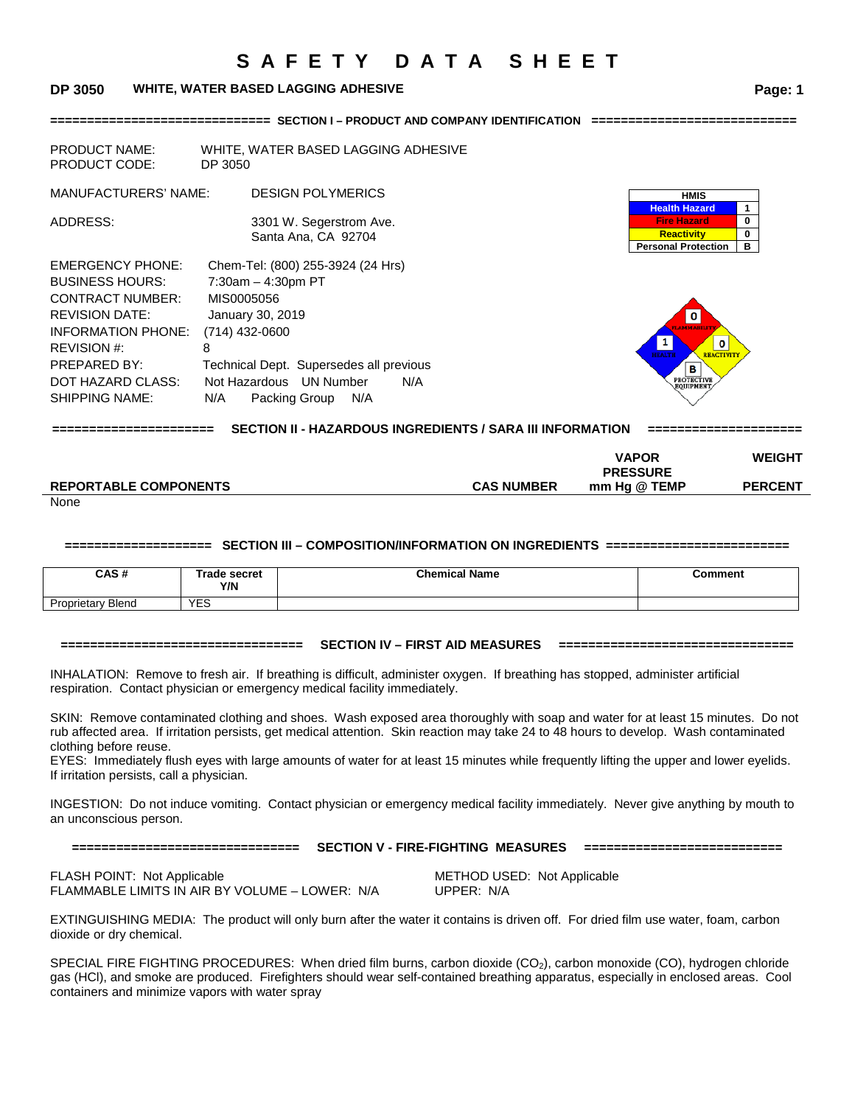**============================== SECTION I – PRODUCT AND COMPANY IDENTIFICATION ============================** 

#### **DP 3050 WHITE, WATER BASED LAGGING ADHESIVE Page: 1**

| <b>PRODUCT NAME:</b><br><b>PRODUCT CODE:</b>                                                                                                                                                             | WHITE, WATER BASED LAGGING ADHESIVE<br>DP 3050                                                                                                                                                                                   |                                                                                                 |             |
|----------------------------------------------------------------------------------------------------------------------------------------------------------------------------------------------------------|----------------------------------------------------------------------------------------------------------------------------------------------------------------------------------------------------------------------------------|-------------------------------------------------------------------------------------------------|-------------|
| MANUFACTURERS' NAME:                                                                                                                                                                                     | <b>DESIGN POLYMERICS</b>                                                                                                                                                                                                         | <b>HMIS</b>                                                                                     |             |
| ADDRESS:                                                                                                                                                                                                 | 3301 W. Segerstrom Ave.<br>Santa Ana, CA 92704                                                                                                                                                                                   | <b>Health Hazard</b><br><b>Fire Hazard</b><br><b>Reactivity</b><br><b>Personal Protection</b>   | 0<br>0<br>в |
| <b>EMERGENCY PHONE:</b><br><b>BUSINESS HOURS:</b><br><b>CONTRACT NUMBER:</b><br><b>REVISION DATE:</b><br>INFORMATION PHONE:<br>REVISION #:<br>PREPARED BY:<br>DOT HAZARD CLASS:<br><b>SHIPPING NAME:</b> | Chem-Tel: (800) 255-3924 (24 Hrs)<br>$7:30am - 4:30pm PT$<br>MIS0005056<br>January 30, 2019<br>$(714)$ 432-0600<br>8<br>Technical Dept. Supersedes all previous<br>Not Hazardous UN Number<br>N/A<br>N/A<br>Packing Group<br>N/A | o<br>1<br>0<br><b>HEALTH</b><br><b>REACTIVITY</b><br>в<br><b>PROTECTIVE</b><br><b>EQUIPMENT</b> |             |

**====================== SECTION II - HAZARDOUS INGREDIENTS / SARA III INFORMATION =====================**

|                              |                   | <b>VAPOR</b><br><b>PRESSURE</b> | <b>WEIGHT</b>  |
|------------------------------|-------------------|---------------------------------|----------------|
| <b>REPORTABLE COMPONENTS</b> | <b>CAS NUMBER</b> | mm Hq @ TEMP                    | <b>PERCENT</b> |

None

#### **==================== SECTION III – COMPOSITION/INFORMATION ON INGREDIENTS =========================**

| CAS#                            | Trade secret<br>Y/N | <b>Chemical Name</b> | Comment |
|---------------------------------|---------------------|----------------------|---------|
| <b>Blend</b><br>-<br>Proprietar | <b>YES</b>          |                      |         |

#### **================================= SECTION IV – FIRST AID MEASURES ================================**

INHALATION: Remove to fresh air. If breathing is difficult, administer oxygen. If breathing has stopped, administer artificial respiration. Contact physician or emergency medical facility immediately.

SKIN: Remove contaminated clothing and shoes. Wash exposed area thoroughly with soap and water for at least 15 minutes. Do not rub affected area. If irritation persists, get medical attention. Skin reaction may take 24 to 48 hours to develop. Wash contaminated clothing before reuse.

EYES: Immediately flush eyes with large amounts of water for at least 15 minutes while frequently lifting the upper and lower eyelids. If irritation persists, call a physician.

INGESTION: Do not induce vomiting. Contact physician or emergency medical facility immediately. Never give anything by mouth to an unconscious person.

#### **=============================== SECTION V - FIRE-FIGHTING MEASURES ===========================**

FLASH POINT: Not Applicable **METHOD USED:** Not Applicable FLAMMABLE LIMITS IN AIR BY VOLUME – LOWER: N/A UPPER: N/A

EXTINGUISHING MEDIA: The product will only burn after the water it contains is driven off. For dried film use water, foam, carbon dioxide or dry chemical.

SPECIAL FIRE FIGHTING PROCEDURES: When dried film burns, carbon dioxide (CO<sub>2</sub>), carbon monoxide (CO), hydrogen chloride gas (HCl), and smoke are produced. Firefighters should wear self-contained breathing apparatus, especially in enclosed areas. Cool containers and minimize vapors with water spray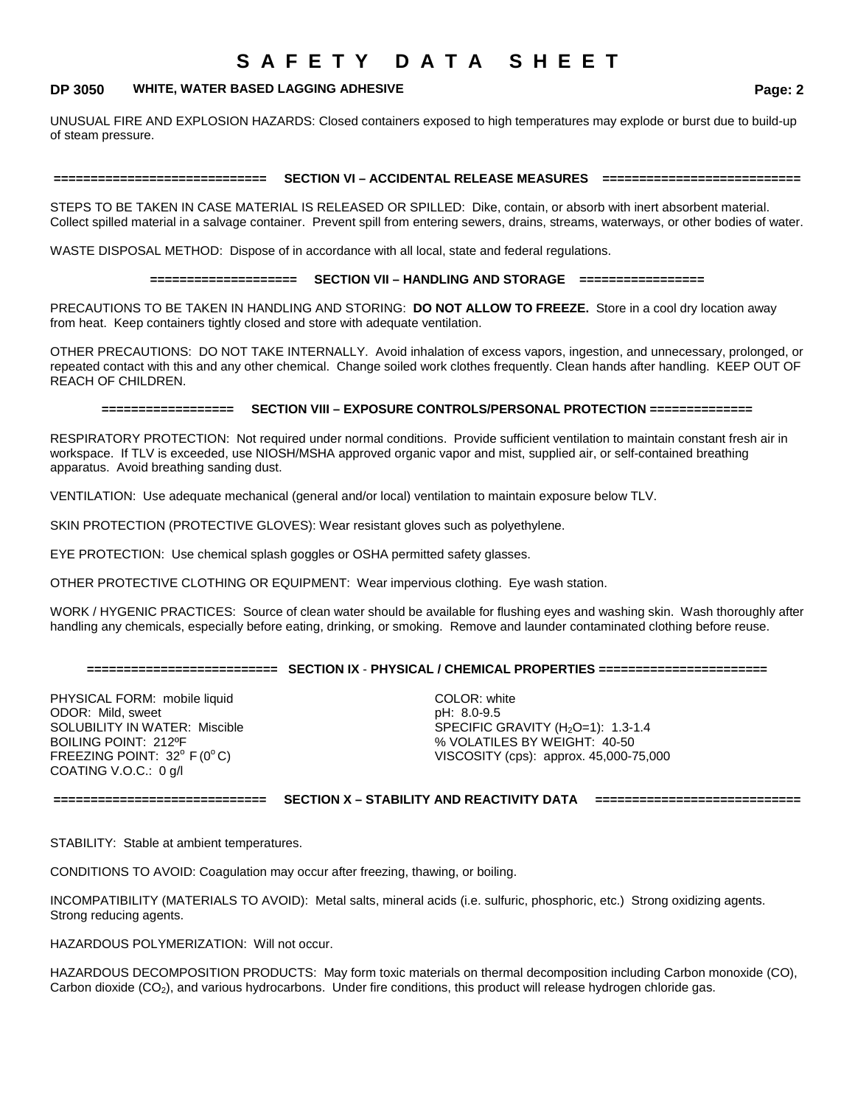### **DP 3050 WHITE, WATER BASED LAGGING ADHESIVE Page: 2**

UNUSUAL FIRE AND EXPLOSION HAZARDS: Closed containers exposed to high temperatures may explode or burst due to build-up of steam pressure.

# **============================= SECTION VI – ACCIDENTAL RELEASE MEASURES ===========================**

STEPS TO BE TAKEN IN CASE MATERIAL IS RELEASED OR SPILLED: Dike, contain, or absorb with inert absorbent material. Collect spilled material in a salvage container. Prevent spill from entering sewers, drains, streams, waterways, or other bodies of water.

WASTE DISPOSAL METHOD: Dispose of in accordance with all local, state and federal regulations.

#### **==================== SECTION VII – HANDLING AND STORAGE =================**

PRECAUTIONS TO BE TAKEN IN HANDLING AND STORING: **DO NOT ALLOW TO FREEZE.** Store in a cool dry location away from heat. Keep containers tightly closed and store with adequate ventilation.

OTHER PRECAUTIONS: DO NOT TAKE INTERNALLY. Avoid inhalation of excess vapors, ingestion, and unnecessary, prolonged, or repeated contact with this and any other chemical. Change soiled work clothes frequently. Clean hands after handling. KEEP OUT OF REACH OF CHILDREN.

#### **================== SECTION VIII – EXPOSURE CONTROLS/PERSONAL PROTECTION ==============**

RESPIRATORY PROTECTION: Not required under normal conditions. Provide sufficient ventilation to maintain constant fresh air in workspace. If TLV is exceeded, use NIOSH/MSHA approved organic vapor and mist, supplied air, or self-contained breathing apparatus. Avoid breathing sanding dust.

VENTILATION: Use adequate mechanical (general and/or local) ventilation to maintain exposure below TLV.

SKIN PROTECTION (PROTECTIVE GLOVES): Wear resistant gloves such as polyethylene.

EYE PROTECTION: Use chemical splash goggles or OSHA permitted safety glasses.

OTHER PROTECTIVE CLOTHING OR EQUIPMENT: Wear impervious clothing. Eye wash station.

WORK / HYGENIC PRACTICES: Source of clean water should be available for flushing eyes and washing skin. Wash thoroughly after handling any chemicals, especially before eating, drinking, or smoking. Remove and launder contaminated clothing before reuse.

### **========================== SECTION IX** - **PHYSICAL / CHEMICAL PROPERTIES =======================**

PHYSICAL FORM: mobile liquid COLOR: white ODOR: Mild, sweet pH: 8.0-9.5 COATING V.O.C.: 0 g/l

SOLUBILITY IN WATER: Miscible SPECIFIC GRAVITY (H<sub>2</sub>O=1): 1.3-1.4<br>BOILING POINT: 212ºF SPECIFIC SPECIFIC SPECIFIC SPECIFIT: 40-50 BOILING POINT: 212ºF<br>
FREEZING POINT: 32° F (0°C) 
FREEZING POINT: 32° F (0°C)

FREEZING POINT: 32° F (0°C) VISCOSITY (cps): approx. 45,000-75,000

**============================= SECTION X – STABILITY AND REACTIVITY DATA ============================**

STABILITY: Stable at ambient temperatures.

CONDITIONS TO AVOID: Coagulation may occur after freezing, thawing, or boiling.

INCOMPATIBILITY (MATERIALS TO AVOID): Metal salts, mineral acids (i.e. sulfuric, phosphoric, etc.) Strong oxidizing agents. Strong reducing agents.

HAZARDOUS POLYMERIZATION: Will not occur.

HAZARDOUS DECOMPOSITION PRODUCTS: May form toxic materials on thermal decomposition including Carbon monoxide (CO), Carbon dioxide (CO<sub>2</sub>), and various hydrocarbons. Under fire conditions, this product will release hydrogen chloride gas.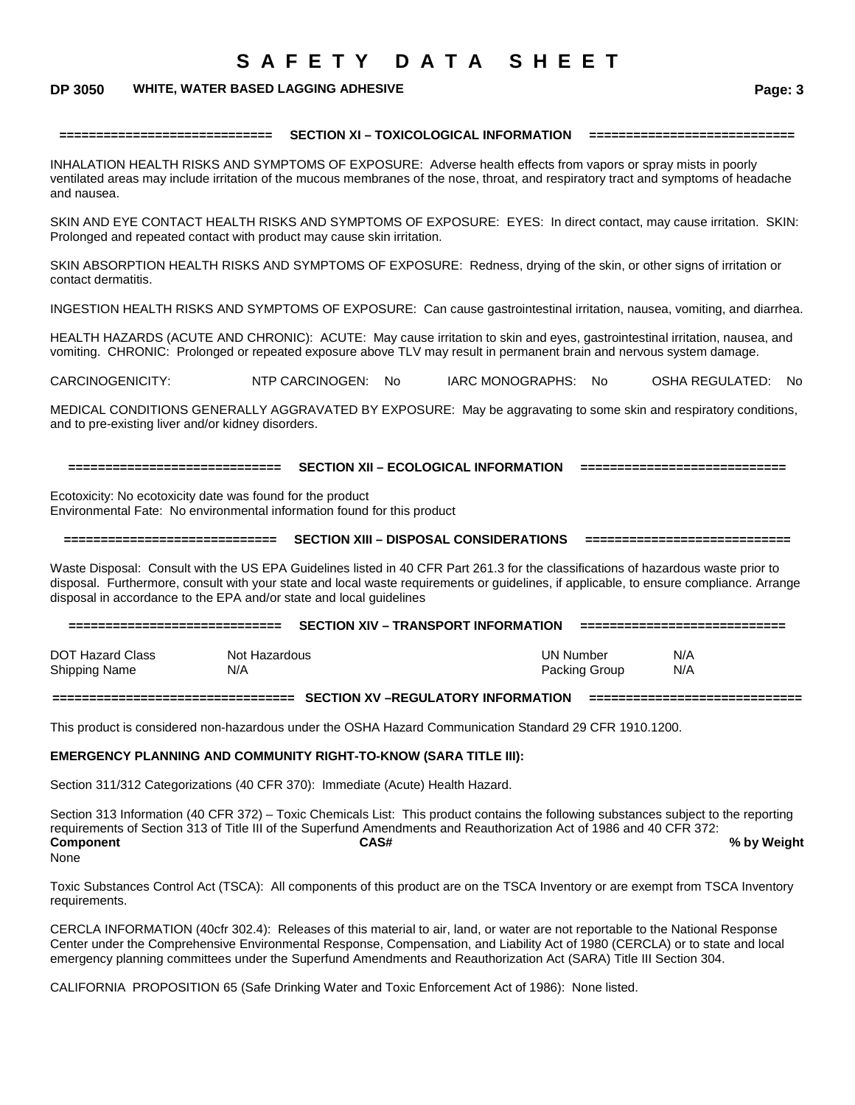### **DP 3050 WHITE, WATER BASED LAGGING ADHESIVE Page: 3**

#### **============================= SECTION XI – TOXICOLOGICAL INFORMATION ============================**

INHALATION HEALTH RISKS AND SYMPTOMS OF EXPOSURE: Adverse health effects from vapors or spray mists in poorly ventilated areas may include irritation of the mucous membranes of the nose, throat, and respiratory tract and symptoms of headache and nausea.

SKIN AND EYE CONTACT HEALTH RISKS AND SYMPTOMS OF EXPOSURE: EYES: In direct contact, may cause irritation. SKIN: Prolonged and repeated contact with product may cause skin irritation.

SKIN ABSORPTION HEALTH RISKS AND SYMPTOMS OF EXPOSURE: Redness, drying of the skin, or other signs of irritation or contact dermatitis.

INGESTION HEALTH RISKS AND SYMPTOMS OF EXPOSURE: Can cause gastrointestinal irritation, nausea, vomiting, and diarrhea.

HEALTH HAZARDS (ACUTE AND CHRONIC): ACUTE: May cause irritation to skin and eyes, gastrointestinal irritation, nausea, and vomiting. CHRONIC: Prolonged or repeated exposure above TLV may result in permanent brain and nervous system damage.

CARCINOGENICITY: NTP CARCINOGEN: No IARC MONOGRAPHS: No OSHA REGULATED: No

MEDICAL CONDITIONS GENERALLY AGGRAVATED BY EXPOSURE: May be aggravating to some skin and respiratory conditions, and to pre-existing liver and/or kidney disorders.

**============================= SECTION XII – ECOLOGICAL INFORMATION ============================**

Ecotoxicity: No ecotoxicity date was found for the product Environmental Fate: No environmental information found for this product

**============================= SECTION XIII – DISPOSAL CONSIDERATIONS ============================**

Waste Disposal: Consult with the US EPA Guidelines listed in 40 CFR Part 261.3 for the classifications of hazardous waste prior to disposal. Furthermore, consult with your state and local waste requirements or guidelines, if applicable, to ensure compliance. Arrange disposal in accordance to the EPA and/or state and local guidelines

| ---------------------------       |                      | <b>SECTION XIV - TRANSPORT INFORMATION</b> |           |               |            |
|-----------------------------------|----------------------|--------------------------------------------|-----------|---------------|------------|
| DOT Hazard Class<br>Shipping Name | Not Hazardous<br>N/A |                                            | UN Number | Packing Group | N/A<br>N/A |

**================================= SECTION XV –REGULATORY INFORMATION =============================**

This product is considered non-hazardous under the OSHA Hazard Communication Standard 29 CFR 1910.1200.

# **EMERGENCY PLANNING AND COMMUNITY RIGHT-TO-KNOW (SARA TITLE III):**

Section 311/312 Categorizations (40 CFR 370): Immediate (Acute) Health Hazard.

Section 313 Information (40 CFR 372) – Toxic Chemicals List: This product contains the following substances subject to the reporting requirements of Section 313 of Title III of the Superfund Amendments and Reauthorization Act of 1986 and 40 CFR 372:<br>Component **Component CAS# % by Weight** None

Toxic Substances Control Act (TSCA): All components of this product are on the TSCA Inventory or are exempt from TSCA Inventory requirements.

CERCLA INFORMATION (40cfr 302.4): Releases of this material to air, land, or water are not reportable to the National Response Center under the Comprehensive Environmental Response, Compensation, and Liability Act of 1980 (CERCLA) or to state and local emergency planning committees under the Superfund Amendments and Reauthorization Act (SARA) Title III Section 304.

CALIFORNIA PROPOSITION 65 (Safe Drinking Water and Toxic Enforcement Act of 1986): None listed.